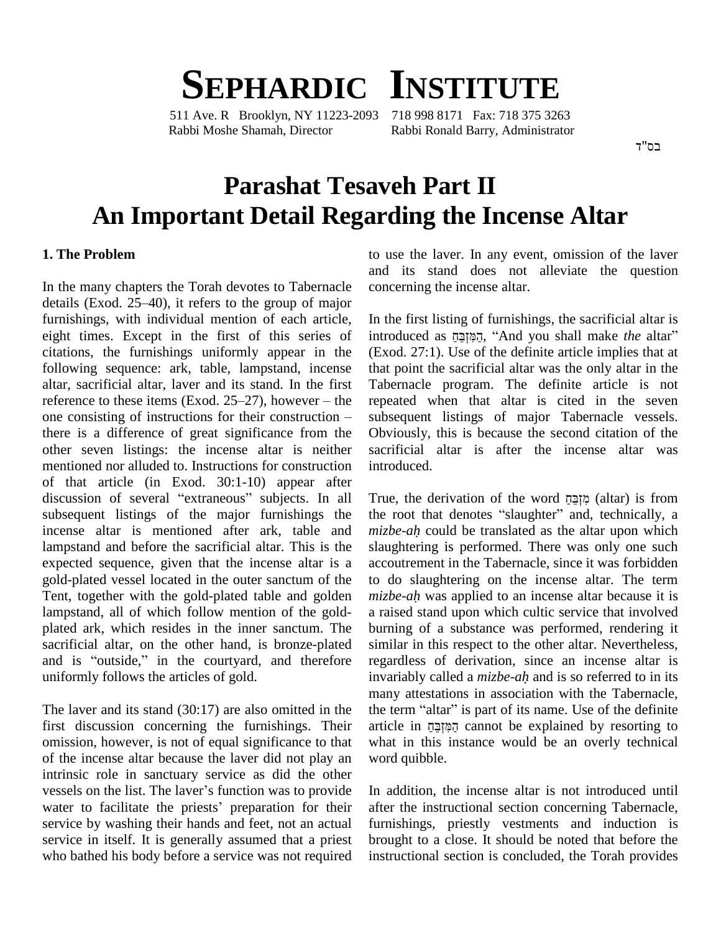# **SEPHARDIC INSTITUTE**

511 Ave. R Brooklyn, NY 11223-2093 718 998 8171 Fax: 718 375 3263 Rabbi Moshe Shamah, Director Rabbi Ronald Barry, Administrator

בס"ד

## **Parashat Tesaveh Part II An Important Detail Regarding the Incense Altar**

#### **1. The Problem**

In the many chapters the Torah devotes to Tabernacle details (Exod.  $25-40$ ), it refers to the group of major furnishings, with individual mention of each article, eight times. Except in the first of this series of citations, the furnishings uniformly appear in the following sequence: ark, table, lampstand, incense that paltar, sacrificial altar, laver and its stand. In the first Taber reference to these items (Exod. 25–27), however – the repea altar, sacrificial altar, laver and its stand. In the first Tabern<br>reference to these items (Exod. 25–27), however – the repeat<br>one consisting of instructions for their construction – subsec there is a difference of great significance from the other seven listings: the incense altar is neither mentioned nor alluded to. Instructions for construction of that article (in Exod. 30:1-10) appear after discussion of several "extraneous" subjects. In all subsequent listings of the major furnishings the incense altar is mentioned after ark, table and *mizbe-ah* could be translated as the altar upon which lampstand and before the sacrificial altar. This is the expected sequence, given that the incense altar is a gold-plated vessel located in the outer sanctum of the Tent, together with the gold-plated table and golden *mizbe-ah* was applied to an incense altar because it is lampstand, all of which follow mention of the goldplated ark, which resides in the inner sanctum. The sacrificial altar, on the other hand, is bronze-plated and is "outside," in the courtyard, and therefore uniformly follows the articles of gold.

The laver and its stand (30:17) are also omitted in the first discussion concerning the furnishings. Their omission, however, is not of equal significance to that of the incense altar because the laver did not play an intrinsic role in sanctuary service as did the other of the incense altar because the laver did not play an word<br>intrinsic role in sanctuary service as did the other<br>vessels on the list. The laver's function was to provide In ad intrinsic role in sanctuary service as did the other<br>vessels on the list. The laver's function was to provide<br>water to facilitate the priests' preparation for their after service by washing their hands and feet, not an actual service in itself. It is generally assumed that a priest who bathed his body before a service was not required

to use the laver. In any event, omission of the laver and its stand does not alleviate the question concerning the incense altar.

In the first listing of furnishings, the sacrificial altar is introduced as הַמִּזְבֵּחָ, "And you shall make *the* altar" (Exod. 27:1). Use of the definite article implies that at that point the sacrificial altar was the only altar in the Tabernacle program. The definite article is not repeated when that altar is cited in the seven subsequent listings of major Tabernacle vessels. Obviously, this is because the second citation of the sacrificial altar is after the incense altar was introduced.

True, the derivation ofthe word ʧʔˎʒʍʦʮʑ (altar) is from the root that denotes <sup>ì</sup>slaughter<sup>î</sup> and, technically, <sup>a</sup> *mizbe-ah* could be translated as the altar upon which slaughtering is performed. There was only one such accoutrement in the Tabernacle, since it was forbidden<br>to do slaughtering on the incense altar. The term<br>*mizbe-ah* was applied to an incense altar because it is to do slaughtering on the incense altar. The term a raised stand upon which cultic service that involved burning of a substance was performed, rendering it similar in this respect to the other altar. Nevertheless, regardless of derivation, since an incense altar is similar in this respect to the other altar. Nevertheless, regardless of derivation, since an incense altar is invariably called a *mizbe-ah* and is so referred to in its many attestations in association with the Tabernacle, invariably called a *mizbe-ah* and is so referred to in its many attestations in association with the Tabernacle, the term "altar" is part of its name. Use of the definite many attestations in association with the Tabernacle,<br>the term "altar" is part of its name. Use of the definite<br>article in מַקְּוּבָּה cannot be explained by resorting to what in this instance would be an overly technical word quibble.

In addition, the incense altar is not introduced until after the instructional section concerning Tabernacle, furnishings, priestly vestments and induction is brought to a close. It should be noted that before the instructional section is concluded, the Torah provides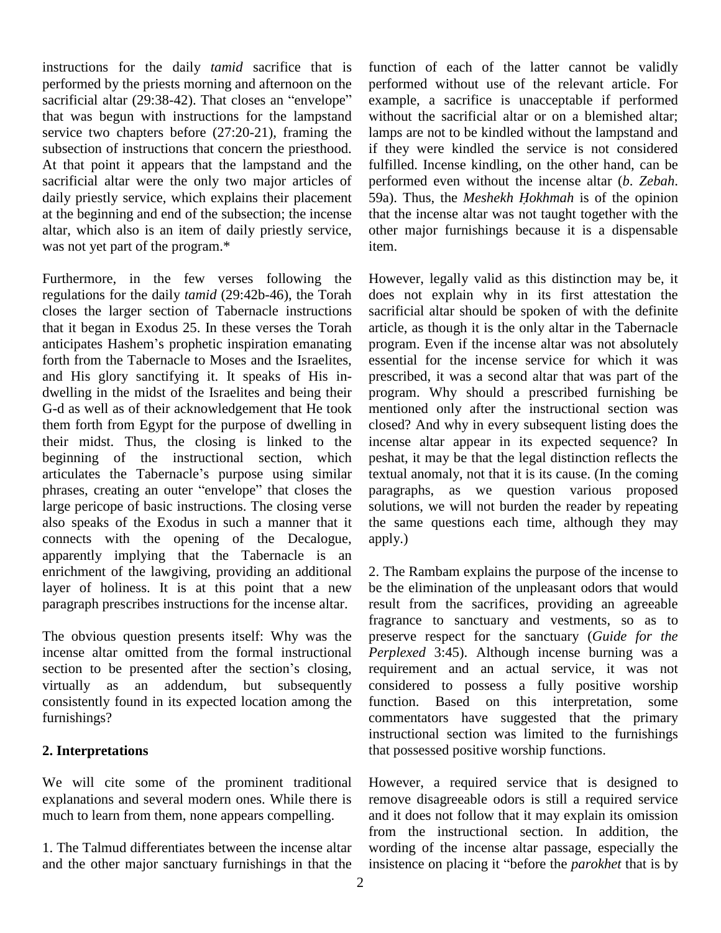instructions for the daily *tamid* sacrifice that is performed by the priests morning and afternoon on the sacrificial altar  $(29:38-42)$ . That closes an "envelope" that was begun with instructions for the lampstand service two chapters before (27:20-21), framing the subsection of instructions that concern the priesthood. At that point it appears that the lampstand and the sacrificial altar were the only two major articles of daily priestly service, which explains their placement at the beginning and end of the subsection; the incense altar, which also is an item of daily priestly service, was not yet part of the program.\*

Furthermore, in the few verses following the regulations for the daily *tamid* (29:42b-46), the Torah closes the larger section of Tabernacle instructions sacrificiate that it began in Exodus 25. In these verses the Torah article anticipates Hashem's prophetic inspiration emanating progra that it began in Exodus 25. In these verses the Torah forth from the Tabernacle to Moses and the Israelites, and His glory sanctifying it. It speaks of His in dwelling in the midst of the Israelites and being their G-d as well as of their acknowledgement that He took them forth from Egypt for the purpose of dwelling in their midst. Thus, the closing is linked to the beginning of the instructional section, which peshat their midst. Thus, the closing is linked to the inc<br>beginning of the instructional section, which pes<br>articulates the Tabernacle's purpose using similar tex articulates the Tabernacle's purpose using similar phrases, creating an outer "envelope" that closes the large pericope of basic instructions. The closing verse also speaks of the Exodus in such a manner that it connects with the opening of the Decalogue, apparently implying that the Tabernacle is an enrichment of the lawgiving, providing an additional layer of holiness. It is at this point that a new paragraph prescribes instructions for the incense altar.

The obvious question presents itself: Why was the incense altar omitted from the formal instructional  $Pe$ The obvious question presents itself: Why was the princense altar omitted from the formal instructional  $P$  section to be presented after the section's closing, re virtually as an addendum, but subsequently consistently found in its expected location among the furnishings?

#### **2. Interpretations**

We will cite some of the prominent traditional explanations and several modern ones. While there is much to learn from them, none appears compelling.

1. The Talmud differentiates between the incense altar and the other major sanctuary furnishings in that the function of each of the latter cannot be validly performed without use of the relevant article. For example, a sacrifice is unacceptable if performed without the sacrificial altar or on a blemished altar; lamps are not to be kindled without the lampstand and if they were kindled the service is not considered fulfilled. Incense kindling, on the other hand, can be performed even without the incense altar (*b*. *Zebah*. 59a). Thus, the *Meshekh <sup>H</sup>okhmah* is of the opinion that the incense altar was not taught together with the other major furnishings because it is a dispensable item.

However, legally valid as this distinction may be, it does not explain why in its first attestation the sacrificial altar should be spoken of with the definite article, as though it is the only altar in the Tabernacle program. Even if the incense altar was not absolutely essential for the incense service for which it was prescribed, it was a second altar that was part of the program. Why should a prescribed furnishing be mentioned only after the instructional section was closed? And why in every subsequent listing does the incense altar appear in its expected sequence? In peshat, it may be that the legal distinction reflects the textual anomaly, not that it is its cause. (In the coming paragraphs, as we question various proposed solutions, we will not burden the reader by repeating the same questions each time, although they may apply.)

2. The Rambam explains the purpose of the incense to be the elimination of the unpleasant odors that would result from the sacrifices, providing an agreeable fragrance to sanctuary and vestments, so as to preserve respect for the sanctuary (*Guide for the Perplexed* 3:45). Although incense burning was a requirement and an actual service, it was not considered to possess a fully positive worship function. Based on this interpretation, some commentators have suggested that the primary instructional section was limited to the furnishings that possessed positive worship functions.

However, a required service that is designed to remove disagreeable odors is still a required service and it does not follow that it may explain its omission from the instructional section. In addition, the wording of the incense altar passage, especially the insistence on placing it "before the *parokhet* that is by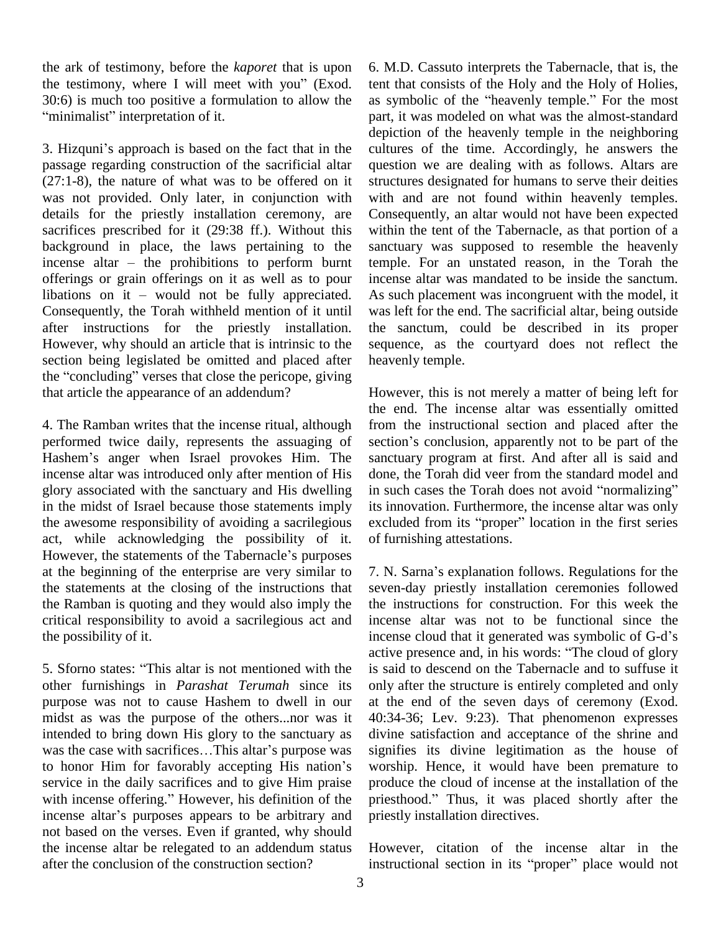the ark of testimony, before the *kaporet* that is upon the ark of testimony, before the *kaporet* that is upon 6.<br>the testimony, where I will meet with you" (Exod. ite<br>30:6) is much too positive a formulation to allow the as<br>"minimalist" interpretation of it. 30:6) is much too positive a formulation to allow the 3. Hizqunií<sup>s</sup> approach is based on the fact that in the

passage regarding construction of the sacrificial altar (27:1-8), the nature of what was to be offered on it was not provided. Only later, in conjunction with details for the priestly installation ceremony, are sacrifices prescribed for it (29:38 ff.). Without this with background in place, the laws pertaining to the sance incense altar – the prohibitions to perform burnt temp background in place, the laws pertaining to the offerings or grain offerings on it as well as to pour incense altar – the prohibitions to perform burnt te<br>offerings or grain offerings on it as well as to pour in<br>libations on it – would not be fully appreciated. A Consequently, the Torah withheld mention of it until after instructions for the priestly installation. However, why should an article that is intrinsic to the sequent section being legislated be omitted and placed after heaven the "concluding" verses that close the pericope, giving section being legislated be omitted and placed after that article the appearance of an addendum?

4. The Ramban writes that the incense ritual, although performed twice daily, represents the assuaging of section's conclusion, apparently not to be part of the Hashem's anger when Israel provokes Him. The incense altar was introduced only after mention of His glory associated with the sanctuary and His dwelling in such cases the Torah does not avoid "normalizing" in the midst of Israel because those statements imply the awesome responsibility of avoiding a sacrilegious exclused act, while acknowledging the possibility of it. of function-<br>However, the statements of the Tabernacle's purposes act, while acknowledging the possibility of it. at the beginning of the enterprise are very similar to the statements at the closing of the instructions that the Ramban is quoting and they would also imply the critical responsibility to avoid a sacrilegious act and the possibility of it.

other furnishings in *Parashat Terumah* since its purpose was not to cause Hashem to dwell in our midst as was the purpose of the others...nor was it 40:3<br>intended to bring down His glory to the sanctuary as divi-<br>was the case with sacrifices...This altar's purpose was sign intended to bring down His glory to the sanctuary as divised was the case with sacrifices...This altar's purpose was sign to honor Him for favorably accepting His nation's wors service in the daily sacrifices and to give Him praise to honor Him for favorably accepting His nation's worst<br>service in the daily sacrifices and to give Him praise produ<br>with incense offering." However, his definition of the priest service in the daily sacrifices and to give Him praise production<br>with incense offering." However, his definition of the priestly<br>incense altar's purposes appears to be arbitrary and priestl not based on the verses. Even if granted, why should the incense altar be relegated to an addendum status after the conclusion of the construction section?

6. M.D. Cassuto interprets the Tabernacle, that is, the tent that consists of the Holy and the Holy of Holies, as symbolic of the "heavenly temple." For the most part, it was modeled on what was the almost-standard depiction of the heavenly temple in the neighboring cultures of the time. Accordingly, he answers the question we are dealing with as follows. Altars are structures designated for humans to serve their deities with and are not found within heavenly temples. Consequently, an altar would not have been expected within the tent of the Tabernacle, as that portion of a sanctuary was supposed to resemble the heavenly temple. For an unstated reason, in the Torah the incense altar was mandated to be inside the sanctum. As such placement was incongruent with the model, it was left for the end. The sacrificial altar, being outside the sanctum, could be described in its proper sequence, as the courtyard does not reflect the heavenly temple.

However, this is not merely a matter of being left for the end. The incense altar was essentially omitted<br>from the instructional section and placed after the<br>section's conclusion, apparently not to be part of the from the instructional section and placed after the sanctuary program at first. And after all is said and done, the Torah did veer from the standard model and in such cases the Torah does not avoid "normalizing" done, the Torah did veer from the standard model and its innovation. Furthermore, the incense altar was only excluded from its "proper" location in the first series of furnishing attestations.

the possibility of it.<br>
the possibility of it.<br>
the presence and, in his words: "The cloud of glory<br>
5. Sforno states: "This altar is not mentioned with the is said to descend on the Tabernacle and to suffuse it 7. N. Sarnaí<sup>s</sup> explanation follows. Regulations for the seven-day priestly installation ceremonies followed the instructions for construction. For this week the incense altar was not to be functional since the incense cloud that it generated was symbolic of G-d's incense altar was not to be functional since the active presence and, in his words: "The cloud of glory is said to descend on the Tabernacle and to suffuse it only after the structure is entirely completed and only at the end of the seven days of ceremony (Exod. 40:34-36; Lev. 9:23). That phenomenon expresses divine satisfaction and acceptance of the shrine and signifies its divine legitimation as the house of worship. Hence, it would have been premature to produce the cloud of incense at the installation of the priesthood.<sup>î</sup> Thus, it was placed shortly after the priestly installation directives.

> However, citation of the incense altar in the instructional section in its "proper" place would not